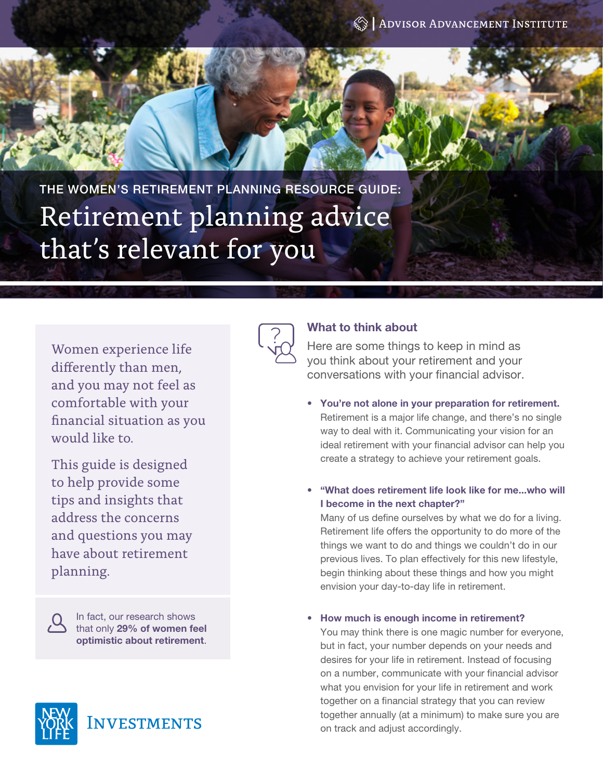THE WOMEN'S RETIREMENT PLANNING RESOURCE GUIDE: Retirement planning advice that's relevant for you

Women experience life differently than men, and you may not feel as comfortable with your financial situation as you would like to.

This guide is designed to help provide some tips and insights that address the concerns and questions you may have about retirement planning.

> In fact, our research shows that only 29% of women feel optimistic about retirement.





# What to think about

Here are some things to keep in mind as you think about your retirement and your conversations with your financial advisor.

- You're not alone in your preparation for retirement. Retirement is a major life change, and there's no single way to deal with it. Communicating your vision for an ideal retirement with your financial advisor can help you create a strategy to achieve your retirement goals.
- "What does retirement life look like for me...who will I become in the next chapter?"

Many of us define ourselves by what we do for a living. Retirement life offers the opportunity to do more of the things we want to do and things we couldn't do in our previous lives. To plan effectively for this new lifestyle, begin thinking about these things and how you might envision your day-to-day life in retirement.

• How much is enough income in retirement?

You may think there is one magic number for everyone, but in fact, your number depends on your needs and desires for your life in retirement. Instead of focusing on a number, communicate with your financial advisor what you envision for your life in retirement and work together on a financial strategy that you can review together annually (at a minimum) to make sure you are on track and adjust accordingly.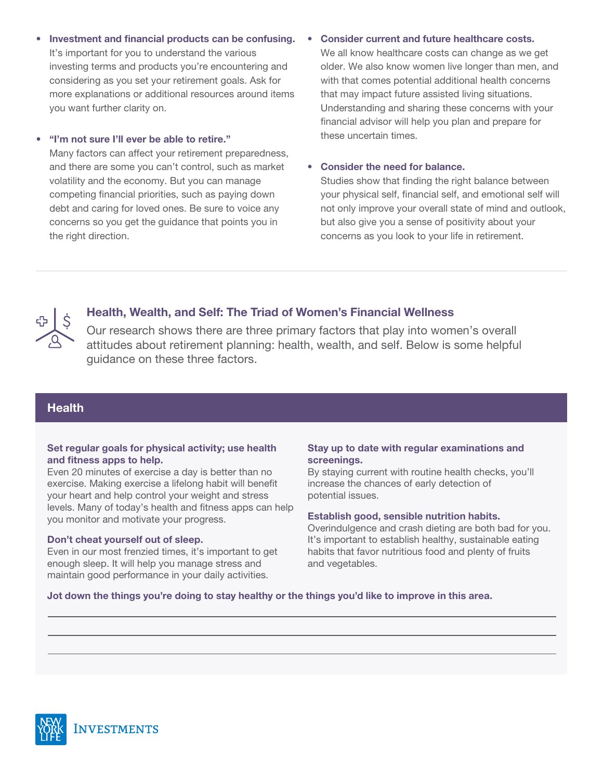- Investment and financial products can be confusing. It's important for you to understand the various investing terms and products you're encountering and considering as you set your retirement goals. Ask for more explanations or additional resources around items you want further clarity on.
- "I'm not sure I'll ever be able to retire."

Many factors can affect your retirement preparedness, and there are some you can't control, such as market volatility and the economy. But you can manage competing financial priorities, such as paying down debt and caring for loved ones. Be sure to voice any concerns so you get the guidance that points you in the right direction.

## • Consider current and future healthcare costs.

We all know healthcare costs can change as we get older. We also know women live longer than men, and with that comes potential additional health concerns that may impact future assisted living situations. Understanding and sharing these concerns with your financial advisor will help you plan and prepare for these uncertain times.

## • Consider the need for balance.

Studies show that finding the right balance between your physical self, financial self, and emotional self will not only improve your overall state of mind and outlook, but also give you a sense of positivity about your concerns as you look to your life in retirement.



# Health, Wealth, and Self: The Triad of Women's Financial Wellness

Our research shows there are three primary factors that play into women's overall attitudes about retirement planning: health, wealth, and self. Below is some helpful guidance on these three factors.

# **Health**

# Set regular goals for physical activity; use health and fitness apps to help.

Even 20 minutes of exercise a day is better than no exercise. Making exercise a lifelong habit will benefit your heart and help control your weight and stress levels. Many of today's health and fitness apps can help you monitor and motivate your progress.

# Don't cheat yourself out of sleep.

Even in our most frenzied times, it's important to get enough sleep. It will help you manage stress and maintain good performance in your daily activities.

# Stay up to date with regular examinations and screenings.

By staying current with routine health checks, you'll increase the chances of early detection of potential issues.

# Establish good, sensible nutrition habits.

Overindulgence and crash dieting are both bad for you. It's important to establish healthy, sustainable eating habits that favor nutritious food and plenty of fruits and vegetables.

# Jot down the things you're doing to stay healthy or the things you'd like to improve in this area.

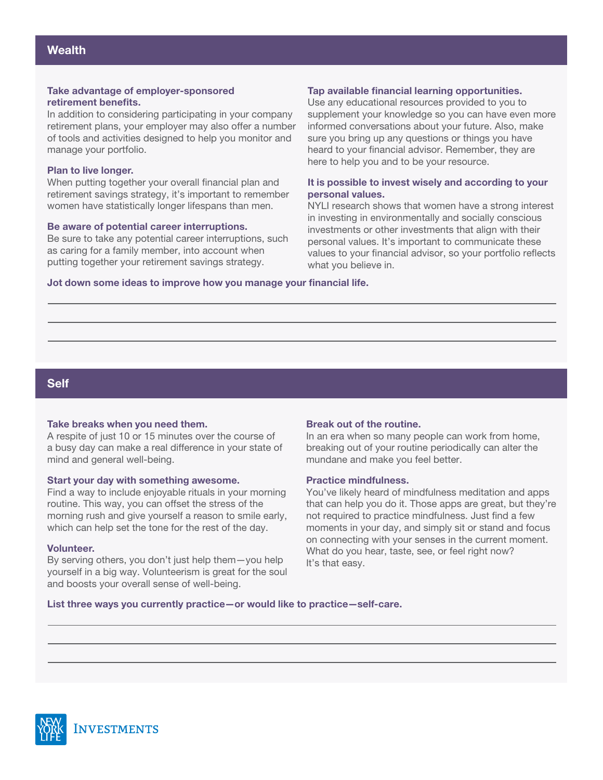## Take advantage of employer-sponsored retirement benefits.

In addition to considering participating in your company retirement plans, your employer may also offer a number of tools and activities designed to help you monitor and manage your portfolio.

## Plan to live longer.

When putting together your overall financial plan and retirement savings strategy, it's important to remember women have statistically longer lifespans than men.

## Be aware of potential career interruptions.

Be sure to take any potential career interruptions, such as caring for a family member, into account when putting together your retirement savings strategy.

## Tap available financial learning opportunities.

Use any educational resources provided to you to supplement your knowledge so you can have even more informed conversations about your future. Also, make sure you bring up any questions or things you have heard to your financial advisor. Remember, they are here to help you and to be your resource.

#### It is possible to invest wisely and according to your personal values.

NYLI research shows that women have a strong interest in investing in environmentally and socially conscious investments or other investments that align with their personal values. It's important to communicate these values to your financial advisor, so your portfolio reflects what you believe in.

Jot down some ideas to improve how you manage your financial life.

# Self

#### Take breaks when you need them.

A respite of just 10 or 15 minutes over the course of a busy day can make a real difference in your state of mind and general well-being.

#### Start your day with something awesome.

Find a way to include enjoyable rituals in your morning routine. This way, you can offset the stress of the morning rush and give yourself a reason to smile early, which can help set the tone for the rest of the day.

#### Volunteer.

By serving others, you don't just help them—you help yourself in a big way. Volunteerism is great for the soul and boosts your overall sense of well-being.

#### Break out of the routine.

In an era when so many people can work from home, breaking out of your routine periodically can alter the mundane and make you feel better.

#### Practice mindfulness.

You've likely heard of mindfulness meditation and apps that can help you do it. Those apps are great, but they're not required to practice mindfulness. Just find a few moments in your day, and simply sit or stand and focus on connecting with your senses in the current moment. What do you hear, taste, see, or feel right now? It's that easy.

#### List three ways you currently practice—or would like to practice—self-care.